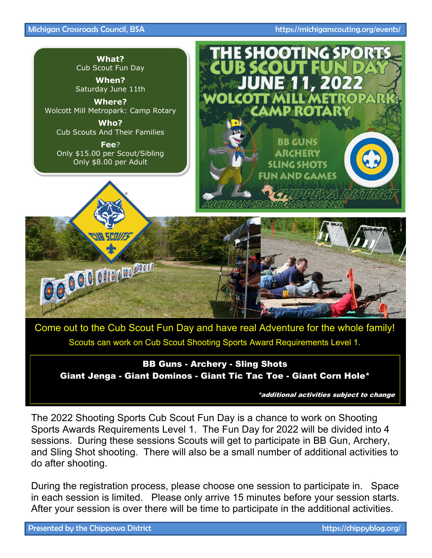### Michigan Crossroads Council, BSA https://michiganscouting.org/events/



BB Guns - Archery - Sling Shots Giant Jenga - Giant Dominos - Giant Tic Tac Toe - Giant Corn Hole\*

\*additional activities subject to change

The 2022 Shooting Sports Cub Scout Fun Day is a chance to work on Shooting Sports Awards Requirements Level 1. The Fun Day for 2022 will be divided into 4 sessions. During these sessions Scouts will get to participate in BB Gun, Archery, and Sling Shot shooting. There will also be a small number of additional activities to do after shooting.

During the registration process, please choose one session to participate in. Space in each session is limited. Please only arrive 15 minutes before your session starts. After your session is over there will be time to participate in the additional activities.